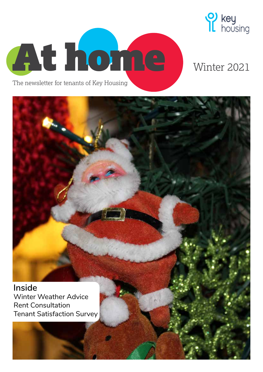

# <sup>2</sup> key<br> **I** housing

## Winter 2021

**Inside** Winter Weather Advice Rent Consultation Tenant Satisfaction Survey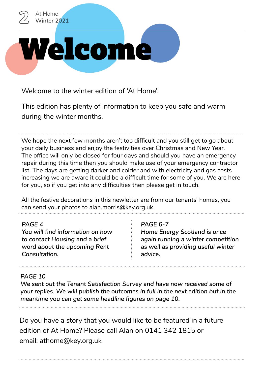

Welcome to the winter edition of 'At Home'.

This edition has plenty of information to keep you safe and warm during the winter months.

We hope the next few months aren't too difficult and you still get to go about your daily business and enjoy the festivities over Christmas and New Year. The office will only be closed for four days and should you have an emergency repair during this time then you should make use of your emergency contractor list. The days are getting darker and colder and with electricity and gas costs increasing we are aware it could be a difficult time for some of you. We are here for you, so if you get into any difficulties then please get in touch.

All the festive decorations in this newletter are from our tenants' homes, you can send your photos to alan.morris@key.org.uk

### *PAGE 4*

*You will find information on how to contact Housing and a brief word about the upcoming Rent Consultation.*

### *PAGE 6-7*

*Home Energy Scotland is once again running a winter competition as well as providing useful winter advice.*

### *PAGE 10*

*We sent out the Tenant Satisfaction Survey and have now received some of your replies. We will publish the outcomes in full in the next edition but in the meantime you can get some headline figures on page 10.*

Do you have a story that you would like to be featured in a future edition of At Home? Please call Alan on 0141 342 1815 or email: athome@key.org.uk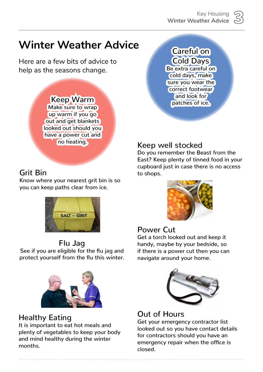## **Winter Weather Advice**

Here are a few bits of advice to help as the seasons change.



Know where your nearest grit bin is so you can keep paths clear from ice.



## Flu Jag

See if you are eligible for the flu jag and protect yourself from the flu this winter.



### Healthy Eating

It is important to eat hot meals and plenty of vegetables to keep your body and mind healthy during the winter months.

### Careful on Cold Days Be extra careful on cold days, make sure you wear the correct footwear and look for patches of ice.

### Keep well stocked

Do you remember the Beast from the East? Keep plenty of tinned food in your Grit Bin **Grit Bin** Cupboard just in case there is no access to shops.



### Power Cut

Get a torch looked out and keep it handy, maybe by your bedside, so if there is a power cut then you can navigate around your home.



### Out of Hours

Get your emergency contractor list looked out so you have contact details for contractors should you have an emergency repair when the office is closed.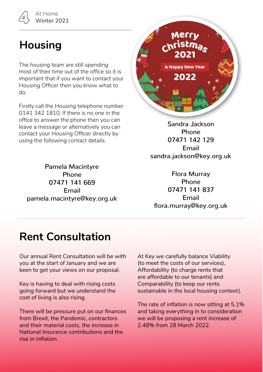# 4 At Home **Winter 2021**

# **Housing**

The housing team are still spending most of their time out of the office so it is important that if you want to contact your Housing Officer then you know what to do.

Firstly call the Housing telephone number 0141 342 1810. If there is no one in the office to answer the phone then you can leave a message or alternatively you can contact your Housing Officer directly by using the following contact details.

Pamela Macintyre Phone 07471 141 669 Email pamela.macintyre@key.org.uk



Sandra Jackson Phone 07471 142 129 Email sandra.jackson@key.org.uk

Flora Murray Phone 07471 141 837 Email flora.murray@key.org.uk

## **Rent Consultation**

Our annual Rent Consultation will be with you at the start of January and we are keen to get your views on our proposal.

Key is having to deal with rising costs going forward but we understand the cost of living is also rising.

There will be pressure put on our finances from Brexit, the Pandemic, contractors and their material costs, the increase in National Insurance contributions and the rise in inflation.

At Key we carefully balance Viability (to meet the costs of our services), Affordability (to charge rents that are affordable to our tenants) and Comparability (to keep our rents sustainable in the local housing context).

The rate of inflation is now sitting at 5.1% and taking everything in to consideration we will be proposing a rent increase of 2.48% from 28 March 2022.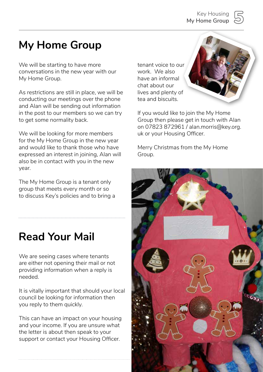5 Key Housing **My Home Group**



## **My Home Group**

We will be starting to have more conversations in the new year with our My Home Group.

As restrictions are still in place, we will be conducting our meetings over the phone and Alan will be sending out information in the post to our members so we can try to get some normality back.

We will be looking for more members for the My Home Group in the new year and would like to thank those who have expressed an interest in joining, Alan will also be in contact with you in the new year.

The My Home Group is a tenant only group that meets every month or so to discuss Key's policies and to bring a

## **Read Your Mail**

We are seeing cases where tenants are either not opening their mail or not providing information when a reply is needed.

It is vitally important that should your local council be looking for information then you reply to them quickly.

This can have an impact on your housing and your income. If you are unsure what the letter is about then speak to your support or contact your Housing Officer.

tenant voice to our work. We also have an informal chat about our lives and plenty of tea and biscuits.

If you would like to join the My Home Group then please get in touch with Alan on 07823 872961 / alan.morris@key.org. uk or your Housing Officer.

Merry Christmas from the My Home Group.

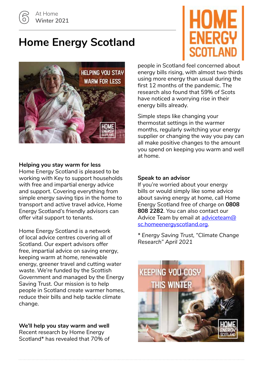## **Home Energy Scotland**





#### **Helping you stay warm for less**

Home Energy Scotland is pleased to be working with Key to support households with free and impartial energy advice and support. Covering everything from simple energy saving tips in the home to transport and active travel advice, Home Energy Scotland's friendly advisors can offer vital support to tenants.

Home Energy Scotland is a network of local advice centres covering all of Scotland. Our expert advisors offer free, impartial advice on saving energy, keeping warm at home, renewable energy, greener travel and cutting water waste. We're funded by the Scottish Government and managed by the Energy Saving Trust. Our mission is to help people in Scotland create warmer homes, reduce their bills and help tackle climate change.

**We'll help you stay warm and well** Recent research by Home Energy Scotland\* has revealed that 70% of people in Scotland feel concerned about energy bills rising, with almost two thirds using more energy than usual during the first 12 months of the pandemic. The research also found that 59% of Scots have noticed a worrying rise in their energy bills already.

Simple steps like changing your thermostat settings in the warmer months, regularly switching your energy supplier or changing the way you pay can all make positive changes to the amount you spend on keeping you warm and well at home.

#### **Speak to an advisor**

If you're worried about your energy bills or would simply like some advice about saving energy at home, call Home Energy Scotland free of charge on **0808 808 2282**. You can also contact our Advice Team by email at adviceteam@ sc.homeenergyscotland.org.

*\* Energy Saving Trust, "Climate Change Research" April 2021*

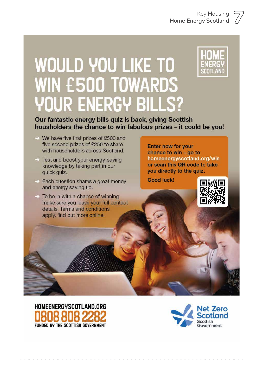# **WOULD YOU LIKE TO WIN E500 TOWARDS YOUR ENERGY BILLS?**



Our fantastic energy bills quiz is back, giving Scottish housholders the chance to win fabulous prizes - it could be you!

- → We have five first prizes of £500 and five second prizes of £250 to share with householders across Scotland.
- $\Rightarrow$  Test and boost your energy-saving knowledge by taking part in our quick quiz.
- $\Rightarrow$  Each question shares a great money and energy saving tip.
- $\rightarrow$  To be in with a chance of winning make sure you leave your full contact details. Terms and conditions apply, find out more online.

**Enter now for your** chance to win - go to homeenergyscotland.org/win or scan this QR code to take you directly to the quiz.

**Good luck!** 





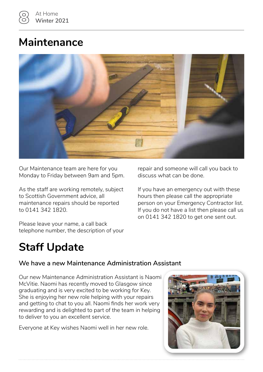## **Maintenance**



Our Maintenance team are here for you Monday to Friday between 9am and 5pm.

As the staff are working remotely, subject to Scottish Government advice, all maintenance repairs should be reported to 0141 342 1820.

Please leave your name, a call back telephone number, the description of your repair and someone will call you back to discuss what can be done.

If you have an emergency out with these hours then please call the appropriate person on your Emergency Contractor list. If you do not have a list then please call us on 0141 342 1820 to get one sent out.

# **Staff Update**

### **We have a new Maintenance Administration Assistant**

Our new Maintenance Administration Assistant is Naomi McVitie. Naomi has recently moved to Glasgow since graduating and is very excited to be working for Key. She is enjoying her new role helping with your repairs and getting to chat to you all. Naomi finds her work very rewarding and is delighted to part of the team in helping to deliver to you an excellent service.

Everyone at Key wishes Naomi well in her new role.

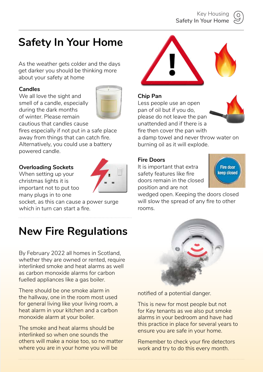

# **Safety In Your Home**

As the weather gets colder and the days get darker you should be thinking more about your safety at home

### **Candles**

We all love the sight and smell of a candle, especially during the dark months of winter. Please remain cautious that candles cause



fires especially if not put in a safe place away from things that can catch fire. Alternatively, you could use a battery powered candle.

### **Overloading Sockets**

When setting up your christmas lights it is important not to put too many plugs in to one



socket, as this can cause a power surge which in turn can start a fire.

# **New Fire Regulations**

By February 2022 all homes in Scotland, whether they are owned or rented, require interlinked smoke and heat alarms as well as carbon monoxide alarms for carbon fuelled appliances like a gas boiler.

There should be one smoke alarm in the hallway, one in the room most used for general living like your living room, a heat alarm in your kitchen and a carbon monoxide alarm at your boiler.

The smoke and heat alarms should be interlinked so when one sounds the others will make a noise too, so no matter where you are in your home you will be



notified of a potential danger.

This is new for most people but not for Key tenants as we also put smoke alarms in your bedroom and have had this practice in place for several years to ensure you are safe in your home.

Remember to check your fire detectors work and try to do this every month.



fire then cover the pan with a damp towel and never throw water on burning oil as it will explode.

#### **Fire Doors**

**Chip Pan**

It is important that extra safety features like fire doors remain in the closed position and are not

Less people use an open pan of oil but if you do,

please do not leave the pan unattended and if there is a



wedged open. Keeping the doors closed will slow the spread of any fire to other rooms.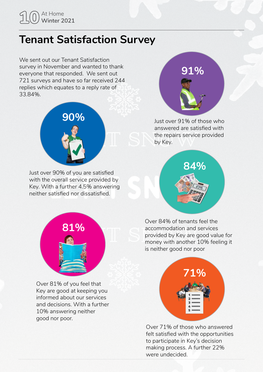# 10 At Home **Winter 2021**

## **Tenant Satisfaction Survey**

We sent out our Tenant Satisfaction survey in November and wanted to thank everyone that responded. We sent out 721 surveys and have so far received 244 replies which equates to a reply rate of 33.84%.



Just over 90% of you are satisfied with the overall service provided by Key. With a further 4.5% answering neither satisfied nor dissatisfied.



Just over 91% of those who answered are satisfied with the repairs service provided by Key.





Over 81% of you feel that Key are good at keeping you informed about our services and decisions. With a further 10% answering neither good nor poor.

Over 84% of tenants feel the accommodation and services provided by Key are good value for money with another 10% feeling it is neither good nor poor



Over 71% of those who answered felt satisfied with the opportunities to participate in Key's decision making process. A further 22% were undecided.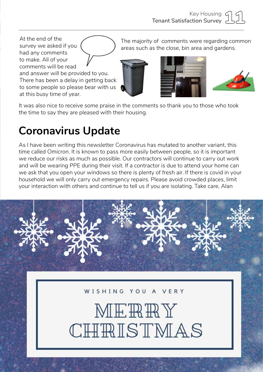At the end of the survey we asked if you had any comments to make. All of your comments will be read and answer will be provided to you. There has been a delay in getting back to some people so please bear with us at this busy time of year.

The majority of comments were regarding common areas such as the close, bin area and gardens.







It was also nice to receive some praise in the comments so thank you to those who took the time to say they are pleased with their housing.

# **Coronavirus Update**

As I have been writing this newsletter Coronavirus has mutated to another variant, this time called Omicron. It is known to pass more easily between people, so it is important we reduce our risks as much as possible. Our contractors will continue to carry out work and will be wearing PPE during their visit. If a contractor is due to attend your home can we ask that you open your windows so there is plenty of fresh air. If there is covid in your household we will only carry out emergency repairs. Please avoid crowded places, limit your interaction with others and continue to tell us if you are isolating. Take care, Alan